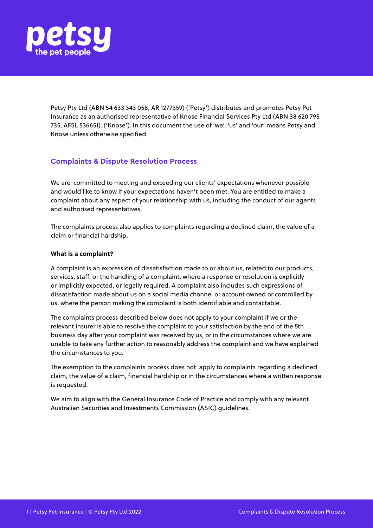

Petsy Pty Ltd (ABN 54 633 343 058, AR 1277359) ('Petsy') distributes and promotes Petsy Pet Insurance as an authorised representative of Knose Financial Services Pty Ltd (ABN 38 620 795 735, AFSL 536651). ('Knose'). In this document the use of 'we', 'us' and 'our' means Petsy and Knose unless otherwise specified.

# **Complaints & Dispute Resolution Process**

We are committed to meeting and exceeding our clients' expectations whenever possible and would like to know if your expectations haven't been met. You are entitled to make a complaint about any aspect of your relationship with us, including the conduct of our agents and authorised representatives.

The complaints process also applies to complaints regarding a declined claim, the value of a claim or financial hardship.

# **What is a complaint?**

A complaint is an expression of dissatisfaction made to or about us, related to our products, services, staff, or the handling of a complaint, where a response or resolution is explicitly or implicitly expected, or legally required. A complaint also includes such expressions of dissatisfaction made about us on a social media channel or account owned or controlled by us, where the person making the complaint is both identifiable and contactable.

The complaints process described below does not apply to your complaint if we or the relevant insurer is able to resolve the complaint to your satisfaction by the end of the 5th business day after your complaint was received by us, or in the circumstances where we are unable to take any further action to reasonably address the complaint and we have explained the circumstances to you.

The exemption to the complaints process does not apply to complaints regarding a declined claim, the value of a claim, financial hardship or in the circumstances where a written response is requested.

We aim to align with the General Insurance Code of Practice and comply with any relevant Australian Securities and Investments Commission (ASIC) guidelines.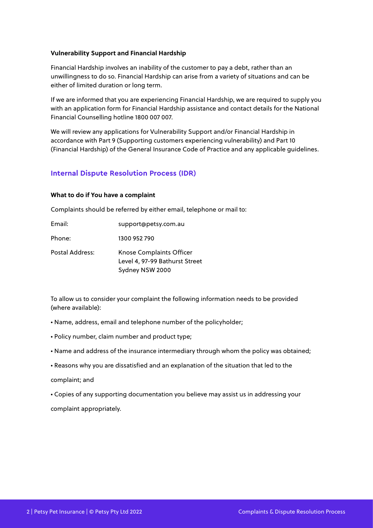# **Vulnerability Support and Financial Hardship**

Financial Hardship involves an inability of the customer to pay a debt, rather than an unwillingness to do so. Financial Hardship can arise from a variety of situations and can be either of limited duration or long term.

If we are informed that you are experiencing Financial Hardship, we are required to supply you with an application form for Financial Hardship assistance and contact details for the National Financial Counselling hotline 1800 007 007.

We will review any applications for Vulnerability Support and/or Financial Hardship in accordance with Part 9 (Supporting customers experiencing vulnerability) and Part 10 (Financial Hardship) of the General Insurance Code of Practice and any applicable guidelines.

# **Internal Dispute Resolution Process (IDR)**

#### **What to do if You have a complaint**

Complaints should be referred by either email, telephone or mail to:

Email: support@petsy.com.au

Phone: 1300 952 790

Postal Address: Knose Complaints Officer Level 4, 97-99 Bathurst Street Sydney NSW 2000

To allow us to consider your complaint the following information needs to be provided (where available):

- Name, address, email and telephone number of the policyholder;
- Policy number, claim number and product type;
- Name and address of the insurance intermediary through whom the policy was obtained;
- Reasons why you are dissatisfied and an explanation of the situation that led to the

#### complaint; and

• Copies of any supporting documentation you believe may assist us in addressing your

complaint appropriately.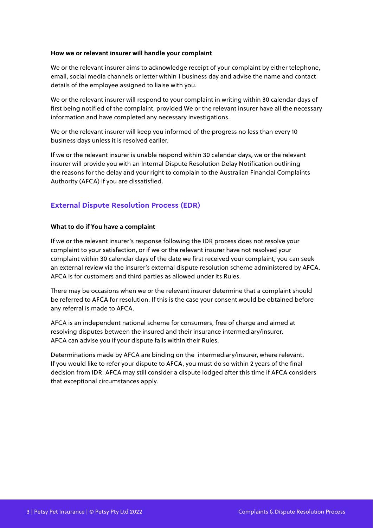# **How we or relevant insurer will handle your complaint**

We or the relevant insurer aims to acknowledge receipt of your complaint by either telephone, email, social media channels or letter within 1 business day and advise the name and contact details of the employee assigned to liaise with you.

We or the relevant insurer will respond to your complaint in writing within 30 calendar days of first being notified of the complaint, provided We or the relevant insurer have all the necessary information and have completed any necessary investigations.

We or the relevant insurer will keep you informed of the progress no less than every 10 business days unless it is resolved earlier.

If we or the relevant insurer is unable respond within 30 calendar days, we or the relevant insurer will provide you with an Internal Dispute Resolution Delay Notification outlining the reasons for the delay and your right to complain to the Australian Financial Complaints Authority (AFCA) if you are dissatisfied.

# **External Dispute Resolution Process (EDR)**

# **What to do if You have a complaint**

If we or the relevant insurer's response following the IDR process does not resolve your complaint to your satisfaction, or if we or the relevant insurer have not resolved your complaint within 30 calendar days of the date we first received your complaint, you can seek an external review via the insurer's external dispute resolution scheme administered by AFCA. AFCA is for customers and third parties as allowed under its Rules.

There may be occasions when we or the relevant insurer determine that a complaint should be referred to AFCA for resolution. If this is the case your consent would be obtained before any referral is made to AFCA.

AFCA is an independent national scheme for consumers, free of charge and aimed at resolving disputes between the insured and their insurance intermediary/insurer. AFCA can advise you if your dispute falls within their Rules.

Determinations made by AFCA are binding on the intermediary/insurer, where relevant. If you would like to refer your dispute to AFCA, you must do so within 2 years of the final decision from IDR. AFCA may still consider a dispute lodged after this time if AFCA considers that exceptional circumstances apply.